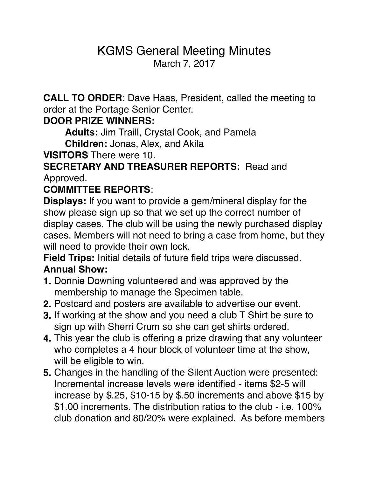# KGMS General Meeting Minutes March 7, 2017

**CALL TO ORDER**: Dave Haas, President, called the meeting to order at the Portage Senior Center.

### **DOOR PRIZE WINNERS:**

**Adults:** Jim Traill, Crystal Cook, and Pamela

**Children:** Jonas, Alex, and Akila

**VISITORS** There were 10.

### **SECRETARY AND TREASURER REPORTS:** Read and Approved.

## **COMMITTEE REPORTS**:

**Displays:** If you want to provide a gem/mineral display for the show please sign up so that we set up the correct number of display cases. The club will be using the newly purchased display cases. Members will not need to bring a case from home, but they will need to provide their own lock.

**Field Trips:** Initial details of future field trips were discussed. **Annual Show:** 

- **1.** Donnie Downing volunteered and was approved by the membership to manage the Specimen table.
- **2.** Postcard and posters are available to advertise our event.
- **3.** If working at the show and you need a club T Shirt be sure to sign up with Sherri Crum so she can get shirts ordered.
- **4.** This year the club is offering a prize drawing that any volunteer who completes a 4 hour block of volunteer time at the show, will be eligible to win.
- **5.** Changes in the handling of the Silent Auction were presented: Incremental increase levels were identified - items \$2-5 will increase by \$.25, \$10-15 by \$.50 increments and above \$15 by \$1.00 increments. The distribution ratios to the club - i.e. 100% club donation and 80/20% were explained. As before members